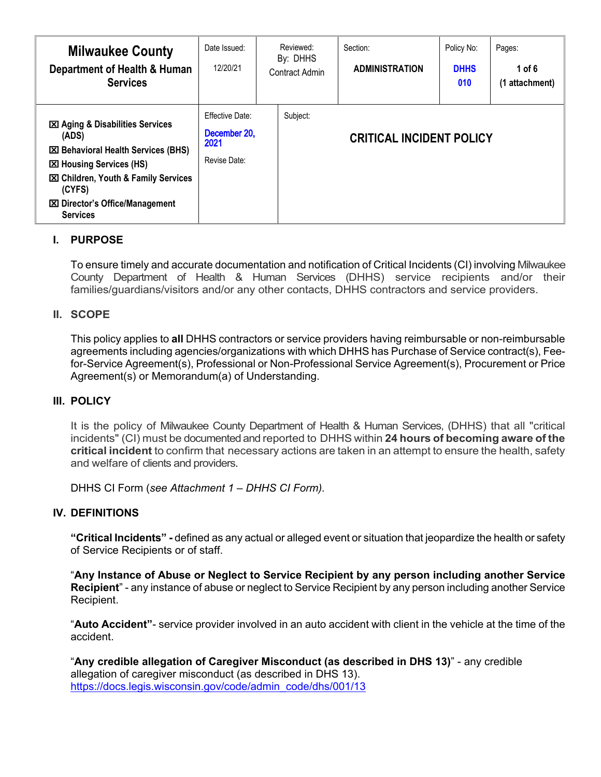| <b>Milwaukee County</b><br>Department of Health & Human<br><b>Services</b>                                                                                                                                                                                   | Date Issued:<br>12/20/21                                | Reviewed:<br>By: DHHS<br><b>Contract Admin</b> | Section:<br><b>ADMINISTRATION</b> | Policy No:<br><b>DHHS</b><br>010 | Pages:<br>1 of $6$<br>(1 attachment) |
|--------------------------------------------------------------------------------------------------------------------------------------------------------------------------------------------------------------------------------------------------------------|---------------------------------------------------------|------------------------------------------------|-----------------------------------|----------------------------------|--------------------------------------|
| <b>⊠ Aging &amp; Disabilities Services</b><br>(ADS)<br><b>⊠ Behavioral Health Services (BHS)</b><br><b>EXI Housing Services (HS)</b><br><b>⊠ Children, Youth &amp; Family Services</b><br>(CYFS)<br><b>区 Director's Office/Management</b><br><b>Services</b> | Effective Date:<br>December 20,<br>2021<br>Revise Date: | Subject:                                       | <b>CRITICAL INCIDENT POLICY</b>   |                                  |                                      |

# **I. PURPOSE**

To ensure timely and accurate documentation and notification of Critical Incidents (CI) involving Milwaukee County Department of Health & Human Services (DHHS) service recipients and/or their families/guardians/visitors and/or any other contacts, DHHS contractors and service providers.

#### **II. SCOPE**

This policy applies to **all** DHHS contractors or service providers having reimbursable or non-reimbursable agreements including agencies/organizations with which DHHS has Purchase of Service contract(s), Feefor-Service Agreement(s), Professional or Non-Professional Service Agreement(s), Procurement or Price Agreement(s) or Memorandum(a) of Understanding.

#### **III. POLICY**

It is the policy of Milwaukee County Department of Health & Human Services, (DHHS) that all "critical incidents" (CI) must be documented and reported to DHHS within **24 hours of becoming aware of the critical incident** to confirm that necessary actions are taken in an attempt to ensure the health, safety and welfare of clients and providers.

DHHS CI Form (*see Attachment 1 – DHHS CI Form).*

#### **IV. DEFINITIONS**

**"Critical Incidents" -** defined as any actual or alleged event or situation that jeopardize the health or safety of Service Recipients or of staff.

"**Any Instance of Abuse or Neglect to Service Recipient by any person including another Service Recipient**" - any instance of abuse or neglect to Service Recipient by any person including another Service Recipient.

"**Auto Accident"**- service provider involved in an auto accident with client in the vehicle at the time of the accident.

"**Any credible allegation of Caregiver Misconduct (as described in DHS 13)**" - any credible allegation of caregiver misconduct (as described in DHS 13). [https://docs.legis.wisconsin.gov/code/admin\\_code/dhs/001/13](https://docs.legis.wisconsin.gov/code/admin_code/dhs/001/13)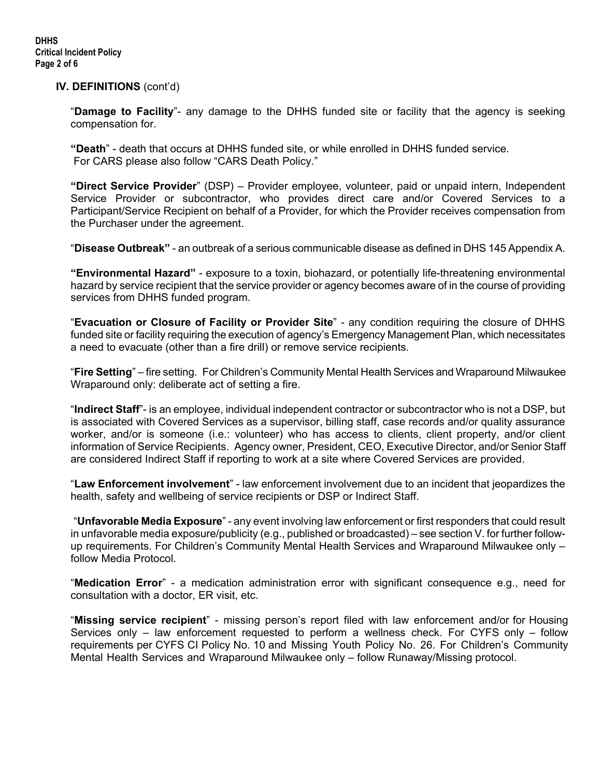#### **IV. DEFINITIONS** (cont'd)

"**Damage to Facility**"- any damage to the DHHS funded site or facility that the agency is seeking compensation for.

**"Death**" - death that occurs at DHHS funded site, or while enrolled in DHHS funded service. For CARS please also follow "CARS Death Policy."

**"Direct Service Provider**" (DSP) – Provider employee, volunteer, paid or unpaid intern, Independent Service Provider or subcontractor, who provides direct care and/or Covered Services to a Participant/Service Recipient on behalf of a Provider, for which the Provider receives compensation from the Purchaser under the agreement.

"**Disease Outbreak"** - an outbreak of a serious communicable disease as defined in DHS 145 Appendix A.

**"Environmental Hazard"** - exposure to a toxin, biohazard, or potentially life-threatening environmental hazard by service recipient that the service provider or agency becomes aware of in the course of providing services from DHHS funded program.

"**Evacuation or Closure of Facility or Provider Site**" - any condition requiring the closure of DHHS funded site or facility requiring the execution of agency's Emergency Management Plan, which necessitates a need to evacuate (other than a fire drill) or remove service recipients.

"**Fire Setting**" – fire setting. For Children's Community Mental Health Services and Wraparound Milwaukee Wraparound only: deliberate act of setting a fire.

"**Indirect Staff**"- is an employee, individual independent contractor or subcontractor who is not a DSP, but is associated with Covered Services as a supervisor, billing staff, case records and/or quality assurance worker, and/or is someone (i.e.: volunteer) who has access to clients, client property, and/or client information of Service Recipients. Agency owner, President, CEO, Executive Director, and/or Senior Staff are considered Indirect Staff if reporting to work at a site where Covered Services are provided.

"**Law Enforcement involvement**" - law enforcement involvement due to an incident that jeopardizes the health, safety and wellbeing of service recipients or DSP or Indirect Staff.

"**Unfavorable Media Exposure**" - any event involving law enforcement or first responders that could result in unfavorable media exposure/publicity (e.g., published or broadcasted) – see section V. for further followup requirements. For Children's Community Mental Health Services and Wraparound Milwaukee only – follow Media Protocol.

"**Medication Error**" - a medication administration error with significant consequence e.g., need for consultation with a doctor, ER visit, etc.

"**Missing service recipient**" - missing person's report filed with law enforcement and/or for Housing Services only – law enforcement requested to perform a wellness check. For CYFS only – follow requirements per CYFS CI Policy No. 10 and Missing Youth Policy No. 26. For Children's Community Mental Health Services and Wraparound Milwaukee only – follow Runaway/Missing protocol.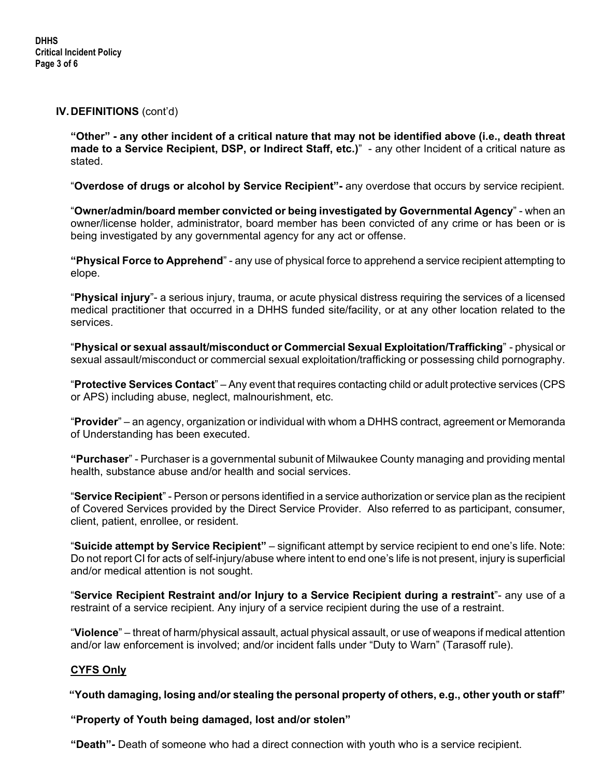#### **IV. DEFINITIONS** (cont'd)

**"Other" - any other incident of a critical nature that may not be identified above (i.e., death threat made to a Service Recipient, DSP, or Indirect Staff, etc.)**" - any other Incident of a critical nature as stated.

"**Overdose of drugs or alcohol by Service Recipient"-** any overdose that occurs by service recipient.

"**Owner/admin/board member convicted or being investigated by Governmental Agency**" - when an owner/license holder, administrator, board member has been convicted of any crime or has been or is being investigated by any governmental agency for any act or offense.

**"Physical Force to Apprehend**" - any use of physical force to apprehend a service recipient attempting to elope.

"**Physical injury**"- a serious injury, trauma, or acute physical distress requiring the services of a licensed medical practitioner that occurred in a DHHS funded site/facility, or at any other location related to the services.

"**Physical or sexual assault/misconduct or Commercial Sexual Exploitation/Trafficking**" - physical or sexual assault/misconduct or commercial sexual exploitation/trafficking or possessing child pornography.

"**Protective Services Contact**" – Any event that requires contacting child or adult protective services (CPS or APS) including abuse, neglect, malnourishment, etc.

"**Provider**" – an agency, organization or individual with whom a DHHS contract, agreement or Memoranda of Understanding has been executed.

**"Purchaser**" - Purchaser is a governmental subunit of Milwaukee County managing and providing mental health, substance abuse and/or health and social services.

"**Service Recipient**" - Person or persons identified in a service authorization or service plan as the recipient of Covered Services provided by the Direct Service Provider. Also referred to as participant, consumer, client, patient, enrollee, or resident.

"**Suicide attempt by Service Recipient"** – significant attempt by service recipient to end one's life. Note: Do not report CI for acts of self-injury/abuse where intent to end one's life is not present, injury is superficial and/or medical attention is not sought.

"**Service Recipient Restraint and/or Injury to a Service Recipient during a restraint**"- any use of a restraint of a service recipient. Any injury of a service recipient during the use of a restraint.

"**Violence**" – threat of harm/physical assault, actual physical assault, or use of weapons if medical attention and/or law enforcement is involved; and/or incident falls under "Duty to Warn" (Tarasoff rule).

#### **CYFS Only**

**"Youth damaging, losing and/or stealing the personal property of others, e.g., other youth or staff"**

**"Property of Youth being damaged, lost and/or stolen"**

**"Death"-** Death of someone who had a direct connection with youth who is a service recipient.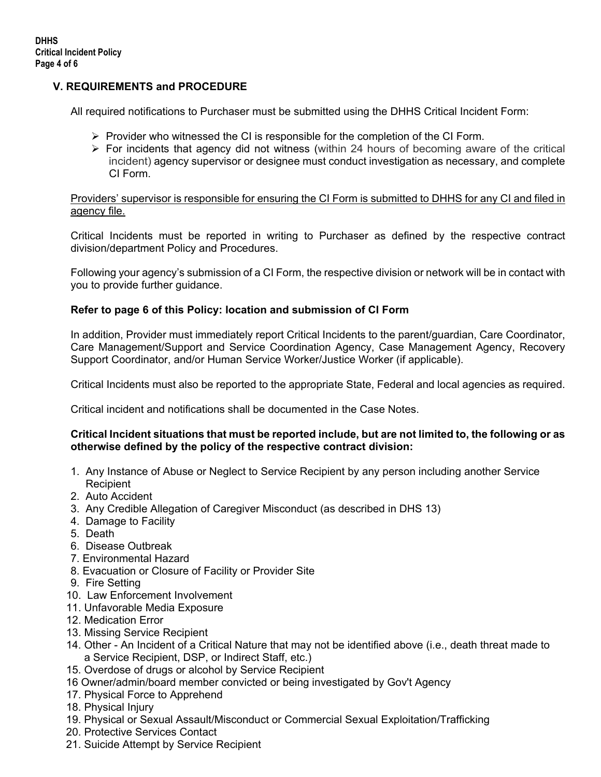# **V. REQUIREMENTS and PROCEDURE**

All required notifications to Purchaser must be submitted using the DHHS Critical Incident Form:

- $\triangleright$  Provider who witnessed the CI is responsible for the completion of the CI Form.
- $\triangleright$  For incidents that agency did not witness (within 24 hours of becoming aware of the critical incident) agency supervisor or designee must conduct investigation as necessary, and complete CI Form.

#### Providers' supervisor is responsible for ensuring the CI Form is submitted to DHHS for any CI and filed in agency file.

Critical Incidents must be reported in writing to Purchaser as defined by the respective contract division/department Policy and Procedures.

Following your agency's submission of a CI Form, the respective division or network will be in contact with you to provide further guidance.

#### **Refer to page 6 of this Policy: location and submission of CI Form**

In addition, Provider must immediately report Critical Incidents to the parent/guardian, Care Coordinator, Care Management/Support and Service Coordination Agency, Case Management Agency, Recovery Support Coordinator, and/or Human Service Worker/Justice Worker (if applicable).

Critical Incidents must also be reported to the appropriate State, Federal and local agencies as required.

Critical incident and notifications shall be documented in the Case Notes.

#### **Critical Incident situations that must be reported include, but are not limited to, the following or as otherwise defined by the policy of the respective contract division:**

- 1. Any Instance of Abuse or Neglect to Service Recipient by any person including another Service Recipient
- 2. Auto Accident
- 3. Any Credible Allegation of Caregiver Misconduct (as described in DHS 13)
- 4. Damage to Facility
- 5. Death
- 6. Disease Outbreak
- 7. Environmental Hazard
- 8. Evacuation or Closure of Facility or Provider Site
- 9. Fire Setting
- 10. Law Enforcement Involvement
- 11. Unfavorable Media Exposure
- 12. Medication Error
- 13. Missing Service Recipient
- 14. Other An Incident of a Critical Nature that may not be identified above (i.e., death threat made to a Service Recipient, DSP, or Indirect Staff, etc.)
- 15. Overdose of drugs or alcohol by Service Recipient
- 16 Owner/admin/board member convicted or being investigated by Gov't Agency
- 17. Physical Force to Apprehend
- 18. Physical Injury
- 19. Physical or Sexual Assault/Misconduct or Commercial Sexual Exploitation/Trafficking
- 20. Protective Services Contact
- 21. Suicide Attempt by Service Recipient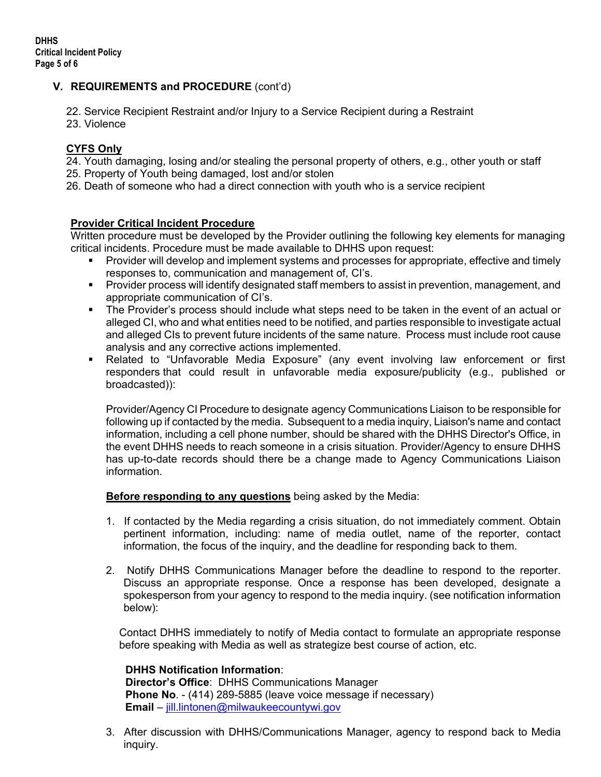# **V. REQUIREMENTS and PROCEDURE** (cont'd)

- 22. Service Recipient Restraint and/or Injury to a Service Recipient during a Restraint
- 23. Violence

# **CYFS Only**

24. Youth damaging, losing and/or stealing the personal property of others, e.g., other youth or staff

- 25. Property of Youth being damaged, lost and/or stolen
- 26. Death of someone who had a direct connection with youth who is a service recipient

# **Provider Critical Incident Procedure**

Written procedure must be developed by the Provider outlining the following key elements for managing critical incidents. Procedure must be made available to DHHS upon request:

- Provider will develop and implement systems and processes for appropriate, effective and timely responses to, communication and management of, CI's.
- Provider process will identify designated staff members to assist in prevention, management, and appropriate communication of CI's.
- The Provider's process should include what steps need to be taken in the event of an actual or alleged CI, who and what entities need to be notified, and parties responsible to investigate actual and alleged CIs to prevent future incidents of the same nature. Process must include root cause analysis and any corrective actions implemented.
- Related to "Unfavorable Media Exposure" (any event involving law enforcement or first responders that could result in unfavorable media exposure/publicity (e.g., published or broadcasted)):

Provider/Agency CI Procedure to designate agency Communications Liaison to be responsible for following up if contacted by the media. Subsequent to a media inquiry, Liaison's name and contact information, including a cell phone number, should be shared with the DHHS Director's Office, in the event DHHS needs to reach someone in a crisis situation. Provider/Agency to ensure DHHS has up-to-date records should there be a change made to Agency Communications Liaison information.

**Before responding to any questions** being asked by the Media:

- 1. If contacted by the Media regarding a crisis situation, do not immediately comment. Obtain pertinent information, including: name of media outlet, name of the reporter, contact information, the focus of the inquiry, and the deadline for responding back to them.
- 2. Notify DHHS Communications Manager before the deadline to respond to the reporter. Discuss an appropriate response. Once a response has been developed, designate a spokesperson from your agency to respond to the media inquiry. (see notification information below):

Contact DHHS immediately to notify of Media contact to formulate an appropriate response before speaking with Media as well as strategize best course of action, etc.

#### **DHHS Notification Information**:

 **Director's Office**: DHHS Communications Manager **Phone No**. - (414) 289-5885 (leave voice message if necessary) **Email** – [jill.lintonen@milwaukeecountywi.gov](mailto:jill.lintonen@milwaukeecountywi.gov)

3. After discussion with DHHS/Communications Manager, agency to respond back to Media inquiry.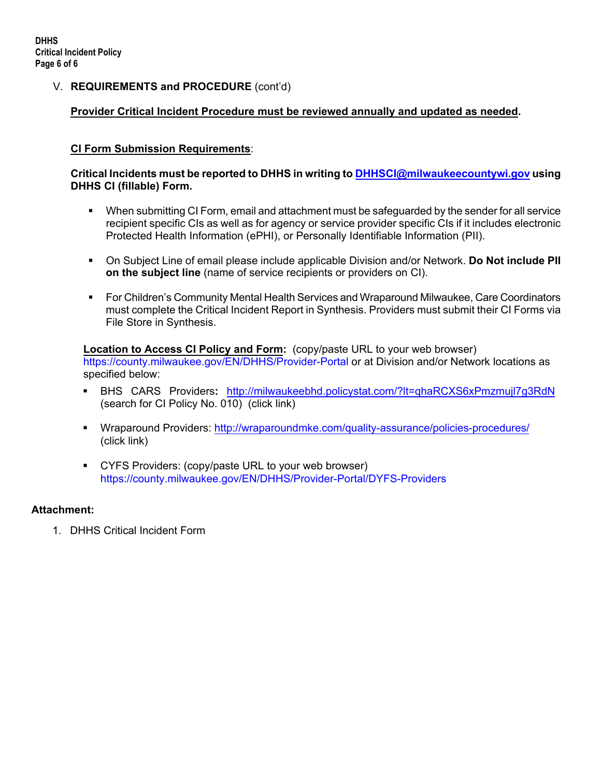## V. **REQUIREMENTS and PROCEDURE** (cont'd)

#### **Provider Critical Incident Procedure must be reviewed annually and updated as needed.**

#### **CI Form Submission Requirements**:

#### **Critical Incidents must be reported to DHHS in writing t[o DHHSCI@milwaukeecountywi.gov](mailto:DHHSCI@milwaukeecountywi.gov) using DHHS CI (fillable) Form.**

- When submitting CI Form, email and attachment must be safeguarded by the sender for all service recipient specific CIs as well as for agency or service provider specific CIs if it includes electronic Protected Health Information (ePHI), or Personally Identifiable Information (PII).
- On Subject Line of email please include applicable Division and/or Network. **Do Not include PII on the subject line** (name of service recipients or providers on CI).
- For Children's Community Mental Health Services and Wraparound Milwaukee, Care Coordinators must complete the Critical Incident Report in Synthesis. Providers must submit their CI Forms via File Store in Synthesis.

**Location to Access CI Policy and Form:** (copy/paste URL to your web browser) <https://county.milwaukee.gov/EN/DHHS/Provider-Portal> or at Division and/or Network locations as specified below:

- BHS CARS Providers**:** <http://milwaukeebhd.policystat.com/?lt=qhaRCXS6xPmzmujl7g3RdN> (search for CI Policy No. 010) (click link)
- Wraparound Provider[s: http://wraparoundmke.com/quality-assurance/policies-procedures/](http://wraparoundmke.com/quality-assurance/policies-procedures/) (click link)
- CYFS Providers: (copy/paste URL to your web browser) https://county.milwaukee.gov/EN/DHHS/Provider-Portal/DYFS-Providers

#### **Attachment:**

1. DHHS Critical Incident Form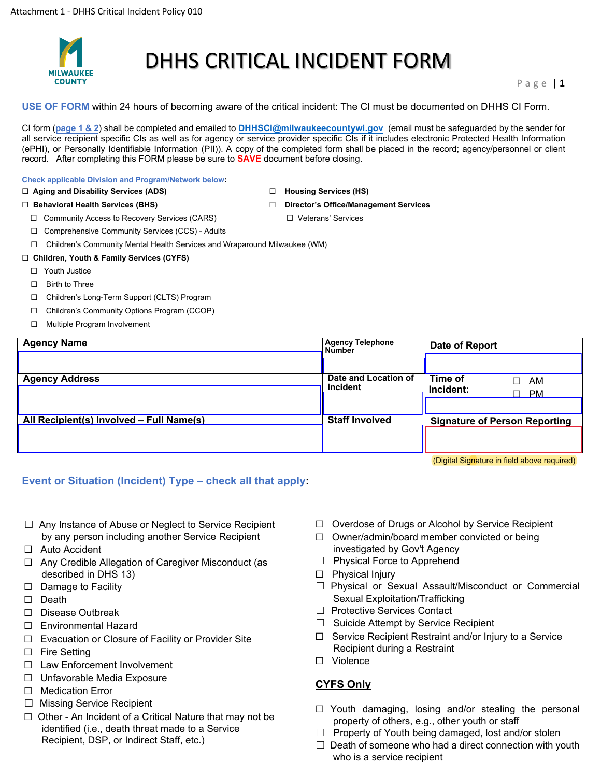

# DHHS CRITICAL INCIDENT FORM

**USE OF FORM** within 24 hours of becoming aware of the critical incident: The CI must be documented on DHHS CI Form.

CI form (**page 1 & 2**) shall be completed and emailed to **[DHHSCI@milwaukeecountywi.gov](mailto:DHHSCI@milwaukeecountywi.gov)** (email must be safeguarded by the sender for all service recipient specific CIs as well as for agency or service provider specific CIs if it includes electronic Protected Health Information (ePHI), or Personally Identifiable Information (PII)). A copy of the completed form shall be placed in the record; agency/personnel or client record. After completing this FORM please be sure to **SAVE** document before closing.

**Check applicable Division and Program/Network below:** 

- 
- ☐ Community Access to Recovery Services (CARS) ☐ Veterans' Services
- ☐ Comprehensive Community Services (CCS) Adults
- 
- ☐ Children's Community Mental Health Services and Wraparound Milwaukee (WM)
- ☐ **Children, Youth & Family Services (CYFS)**
	- ☐ Youth Justice
	- ☐ Birth to Three
	- ☐ Children's Long-Term Support (CLTS) Program
	- ☐ Children's Community Options Program (CCOP)
	- ☐ Multiple Program Involvement

| <b>Agency Name</b>                       | <b>Agency Telephone</b><br><b>Number</b> | Date of Report                                     |  |  |
|------------------------------------------|------------------------------------------|----------------------------------------------------|--|--|
|                                          |                                          |                                                    |  |  |
| <b>Agency Address</b>                    | Date and Location of<br><b>Incident</b>  | Time of<br>AM<br>┐<br>Incident:<br><b>PM</b><br>П. |  |  |
|                                          |                                          |                                                    |  |  |
| All Recipient(s) Involved - Full Name(s) | <b>Staff Involved</b>                    | <b>Signature of Person Reporting</b>               |  |  |
|                                          |                                          |                                                    |  |  |

(Digital Signature in field above required)

# **Event or Situation (Incident) Type – check all that apply:**

- ☐ Any Instance of Abuse or Neglect to Service Recipient by any person including another Service Recipient
- □ Auto Accident
- ☐ Any Credible Allegation of Caregiver Misconduct (as described in DHS 13)
- ☐ Damage to Facility
- ☐ Death
- ☐ Disease Outbreak
- ☐ Environmental Hazard
- ☐ Evacuation or Closure of Facility or Provider Site
- ☐ Fire Setting
- ☐ Law Enforcement Involvement
- ☐ Unfavorable Media Exposure
- ☐ Medication Error
- ☐ Missing Service Recipient
- ☐ Other An Incident of a Critical Nature that may not be identified (i.e., death threat made to a Service Recipient, DSP, or Indirect Staff, etc.)
- ☐ Overdose of Drugs or Alcohol by Service Recipient
- ☐ Owner/admin/board member convicted or being investigated by Gov't Agency
- ☐ Physical Force to Apprehend
- ☐ Physical Injury
- ☐ Physical or Sexual Assault/Misconduct or Commercial Sexual Exploitation/Trafficking
- ☐ Protective Services Contact
- ☐ Suicide Attempt by Service Recipient
- ☐ Service Recipient Restraint and/or Injury to a Service Recipient during a Restraint
- ☐ Violence

# **CYFS Only**

- ☐ Youth damaging, losing and/or stealing the personal property of others, e.g., other youth or staff
- ☐ Property of Youth being damaged, lost and/or stolen
- $\Box$  Death of someone who had a direct connection with youth who is a service recipient
- ☐ **Aging and Disability Services (ADS)** ☐ **Housing Services (HS)**
- ☐ **Behavioral Health Services (BHS)** ☐ **Director's Office/Management Services**
	-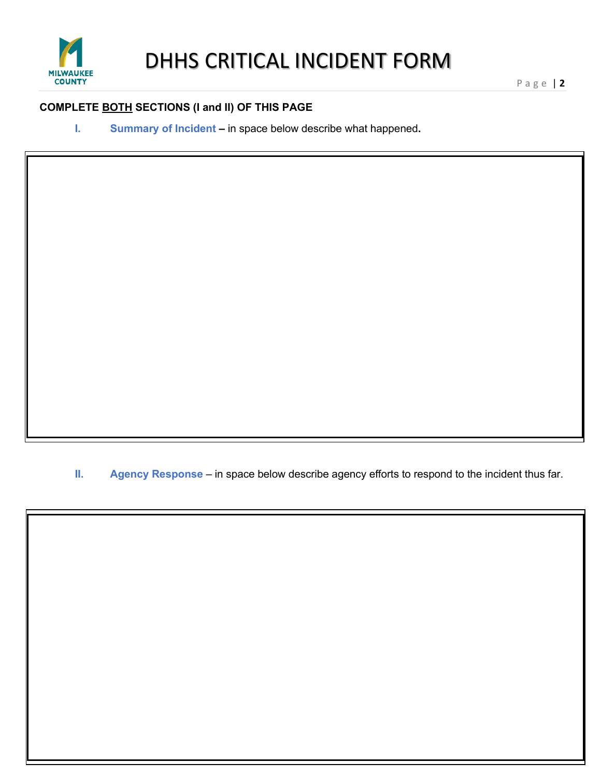

# **COMPLETE BOTH SECTIONS (I and II) OF THIS PAGE**

**I. Summary of Incident –** in space below describe what happened**.** 

**II. Agency Response** – in space below describe agency efforts to respond to the incident thus far.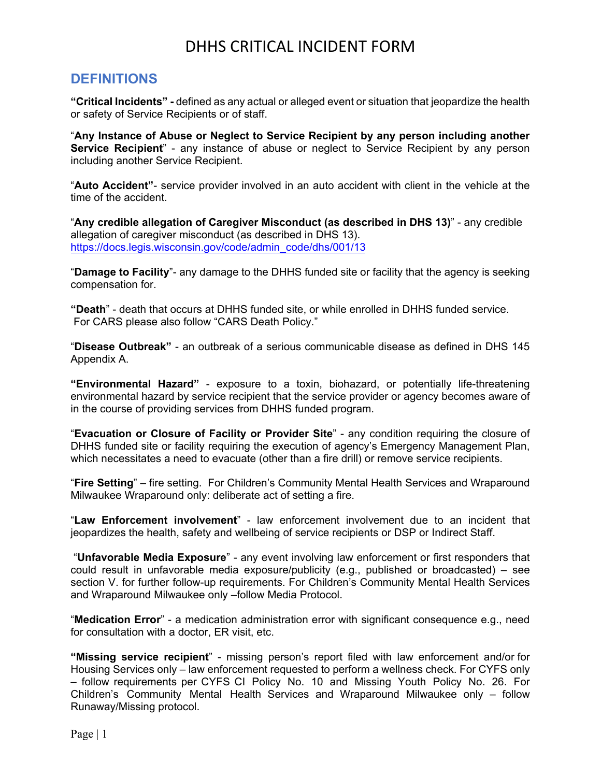# DHHS CRITICAL INCIDENT FORM

# **DEFINITIONS**

**"Critical Incidents" -** defined as any actual or alleged event or situation that jeopardize the health or safety of Service Recipients or of staff.

"**Any Instance of Abuse or Neglect to Service Recipient by any person including another Service Recipient**" - any instance of abuse or neglect to Service Recipient by any person including another Service Recipient.

"**Auto Accident"**- service provider involved in an auto accident with client in the vehicle at the time of the accident.

"**Any credible allegation of Caregiver Misconduct (as described in DHS 13)**" - any credible allegation of caregiver misconduct (as described in DHS 13). [https://docs.legis.wisconsin.gov/code/admin\\_code/dhs/001/13](https://docs.legis.wisconsin.gov/code/admin_code/dhs/001/13)

"**Damage to Facility**"- any damage to the DHHS funded site or facility that the agency is seeking compensation for.

**"Death**" - death that occurs at DHHS funded site, or while enrolled in DHHS funded service. For CARS please also follow "CARS Death Policy."

"**Disease Outbreak"** - an outbreak of a serious communicable disease as defined in DHS 145 Appendix A.

**"Environmental Hazard"** - exposure to a toxin, biohazard, or potentially life-threatening environmental hazard by service recipient that the service provider or agency becomes aware of in the course of providing services from DHHS funded program.

"**Evacuation or Closure of Facility or Provider Site**" - any condition requiring the closure of DHHS funded site or facility requiring the execution of agency's Emergency Management Plan, which necessitates a need to evacuate (other than a fire drill) or remove service recipients.

"**Fire Setting**" – fire setting. For Children's Community Mental Health Services and Wraparound Milwaukee Wraparound only: deliberate act of setting a fire.

"**Law Enforcement involvement**" - law enforcement involvement due to an incident that jeopardizes the health, safety and wellbeing of service recipients or DSP or Indirect Staff.

 "**Unfavorable Media Exposure**" - any event involving law enforcement or first responders that could result in unfavorable media exposure/publicity (e.g., published or broadcasted) – see section V. for further follow-up requirements. For Children's Community Mental Health Services and Wraparound Milwaukee only –follow Media Protocol.

"**Medication Error**" - a medication administration error with significant consequence e.g., need for consultation with a doctor, ER visit, etc.

**"Missing service recipient**" - missing person's report filed with law enforcement and/or for Housing Services only – law enforcement requested to perform a wellness check. For CYFS only – follow requirements per CYFS CI Policy No. 10 and Missing Youth Policy No. 26. For Children's Community Mental Health Services and Wraparound Milwaukee only – follow Runaway/Missing protocol.